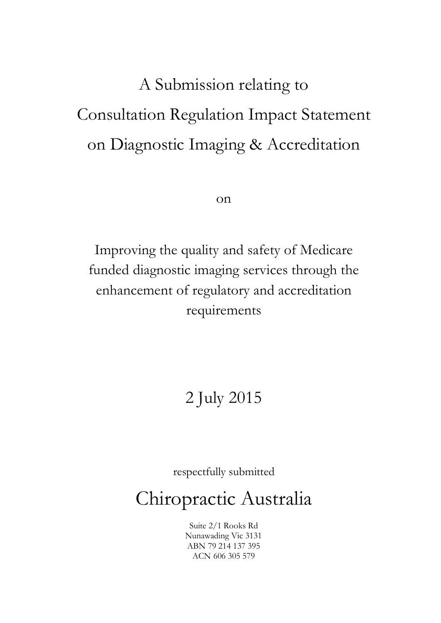# A Submission relating to Consultation Regulation Impact Statement on Diagnostic Imaging & Accreditation

on

Improving the quality and safety of Medicare funded diagnostic imaging services through the enhancement of regulatory and accreditation requirements

## 2 July 2015

respectfully submitted

Chiropractic Australia

Suite 2/1 Rooks Rd Nunawading Vic 3131 ABN 79 214 137 395 ACN 606 305 579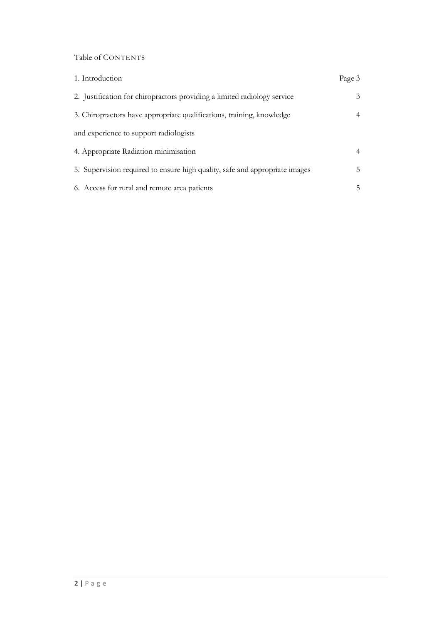Table of CONTENTS

| 1. Introduction                                                             | Page 3 |
|-----------------------------------------------------------------------------|--------|
| 2. Justification for chiropractors providing a limited radiology service    | 3      |
| 3. Chiropractors have appropriate qualifications, training, knowledge       |        |
| and experience to support radiologists                                      |        |
| 4. Appropriate Radiation minimisation                                       |        |
| 5. Supervision required to ensure high quality, safe and appropriate images | 5.     |
| 6. Access for rural and remote area patients                                | 5.     |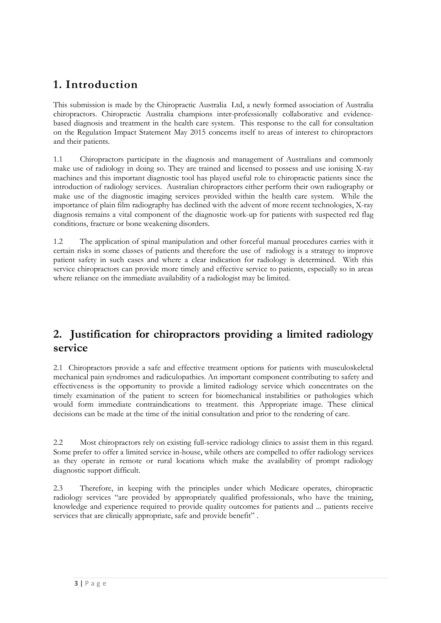## **1. Introduction**

This submission is made by the Chiropractic Australia Ltd, a newly formed association of Australia chiropractors. Chiropractic Australia champions inter-professionally collaborative and evidencebased diagnosis and treatment in the health care system. This response to the call for consultation on the Regulation Impact Statement May 2015 concerns itself to areas of interest to chiropractors and their patients.

1.1 Chiropractors participate in the diagnosis and management of Australians and commonly make use of radiology in doing so. They are trained and licensed to possess and use ionising X-ray machines and this important diagnostic tool has played useful role to chiropractic patients since the introduction of radiology services. Australian chiropractors either perform their own radiography or make use of the diagnostic imaging services provided within the health care system. While the importance of plain film radiography has declined with the advent of more recent technologies, X-ray diagnosis remains a vital component of the diagnostic work-up for patients with suspected red flag conditions, fracture or bone weakening disorders.

1.2 The application of spinal manipulation and other forceful manual procedures carries with it certain risks in some classes of patients and therefore the use of radiology is a strategy to improve patient safety in such cases and where a clear indication for radiology is determined. With this service chiropractors can provide more timely and effective service to patients, especially so in areas where reliance on the immediate availability of a radiologist may be limited.

## **2. Justification for chiropractors providing a limited radiology service**

2.1 Chiropractors provide a safe and effective treatment options for patients with musculoskeletal mechanical pain syndromes and radiculopathies. An important component contributing to safety and effectiveness is the opportunity to provide a limited radiology service which concentrates on the timely examination of the patient to screen for biomechanical instabilities or pathologies which would form immediate contraindications to treatment. this Appropriate image. These clinical decisions can be made at the time of the initial consultation and prior to the rendering of care.

2.2 Most chiropractors rely on existing full-service radiology clinics to assist them in this regard. Some prefer to offer a limited service in-house, while others are compelled to offer radiology services as they operate in remote or rural locations which make the availability of prompt radiology diagnostic support difficult.

2.3 Therefore, in keeping with the principles under which Medicare operates, chiropractic radiology services "are provided by appropriately qualified professionals, who have the training, knowledge and experience required to provide quality outcomes for patients and ... patients receive services that are clinically appropriate, safe and provide benefit".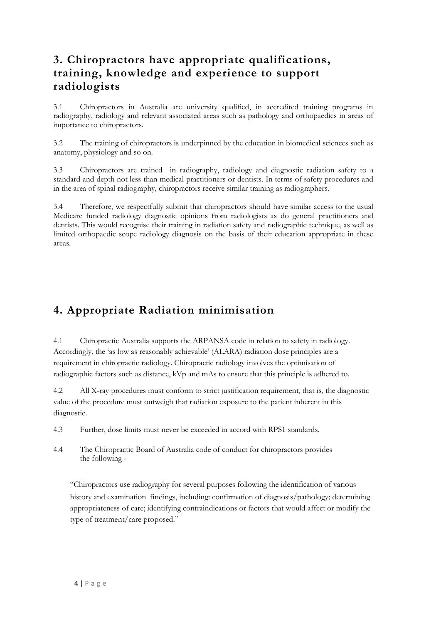## **3. Chiropractors have appropriate qualifications, training, knowledge and experience to support radiologists**

3.1 Chiropractors in Australia are university qualified, in accredited training programs in radiography, radiology and relevant associated areas such as pathology and orthopaedics in areas of importance to chiropractors.

3.2 The training of chiropractors is underpinned by the education in biomedical sciences such as anatomy, physiology and so on.

3.3 Chiropractors are trained in radiography, radiology and diagnostic radiation safety to a standard and depth not less than medical practitioners or dentists. In terms of safety procedures and in the area of spinal radiography, chiropractors receive similar training as radiographers.

3.4 Therefore, we respectfully submit that chiropractors should have similar access to the usual Medicare funded radiology diagnostic opinions from radiologists as do general practitioners and dentists. This would recognise their training in radiation safety and radiographic technique, as well as limited orthopaedic scope radiology diagnosis on the basis of their education appropriate in these areas.

## **4. Appropriate Radiation minimisation**

4.1 Chiropractic Australia supports the ARPANSA code in relation to safety in radiology. Accordingly, the 'as low as reasonably achievable' (ALARA) radiation dose principles are a requirement in chiropractic radiology. Chiropractic radiology involves the optimisation of radiographic factors such as distance, kVp and mAs to ensure that this principle is adhered to.

4.2 All X-ray procedures must conform to strict justification requirement, that is, the diagnostic value of the procedure must outweigh that radiation exposure to the patient inherent in this diagnostic.

- 4.3 Further, dose limits must never be exceeded in accord with RPS1 standards.
- 4.4 The Chiropractic Board of Australia code of conduct for chiropractors provides the following -

"Chiropractors use radiography for several purposes following the identification of various history and examination findings, including: confirmation of diagnosis/pathology; determining appropriateness of care; identifying contraindications or factors that would affect or modify the type of treatment/care proposed."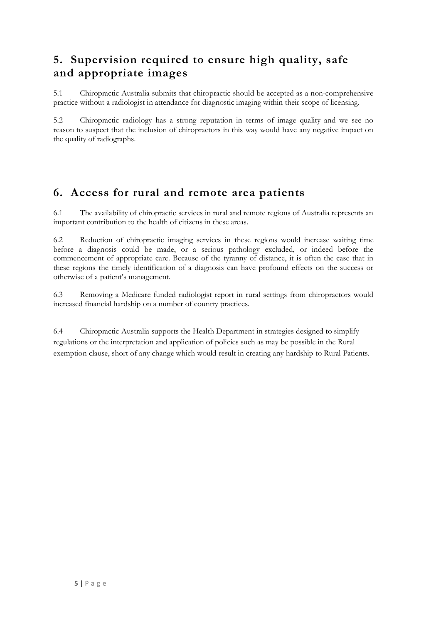## **5. Supervision required to ensure high quality, safe and appropriate images**

5.1 Chiropractic Australia submits that chiropractic should be accepted as a non-comprehensive practice without a radiologist in attendance for diagnostic imaging within their scope of licensing.

5.2 Chiropractic radiology has a strong reputation in terms of image quality and we see no reason to suspect that the inclusion of chiropractors in this way would have any negative impact on the quality of radiographs.

## **6. Access for rural and remote area patients**

6.1 The availability of chiropractic services in rural and remote regions of Australia represents an important contribution to the health of citizens in these areas.

6.2 Reduction of chiropractic imaging services in these regions would increase waiting time before a diagnosis could be made, or a serious pathology excluded, or indeed before the commencement of appropriate care. Because of the tyranny of distance, it is often the case that in these regions the timely identification of a diagnosis can have profound effects on the success or otherwise of a patient's management.

6.3 Removing a Medicare funded radiologist report in rural settings from chiropractors would increased financial hardship on a number of country practices.

6.4 Chiropractic Australia supports the Health Department in strategies designed to simplify regulations or the interpretation and application of policies such as may be possible in the Rural exemption clause, short of any change which would result in creating any hardship to Rural Patients.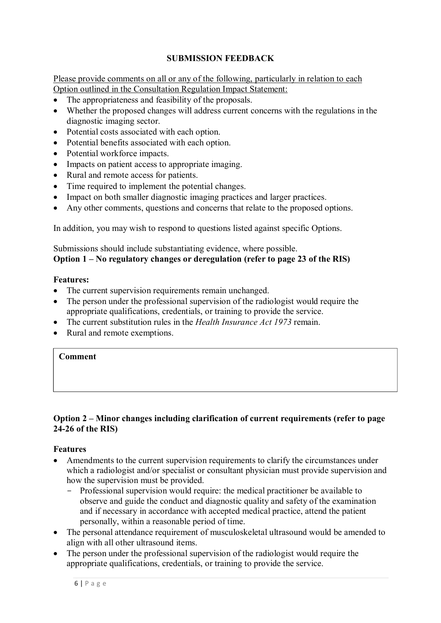#### **SUBMISSION FEEDBACK**

Please provide comments on all or any of the following, particularly in relation to each Option outlined in the Consultation Regulation Impact Statement:

- The appropriateness and feasibility of the proposals.
- Whether the proposed changes will address current concerns with the regulations in the diagnostic imaging sector.
- Potential costs associated with each option.
- Potential benefits associated with each option.
- Potential workforce impacts.
- Impacts on patient access to appropriate imaging.
- Rural and remote access for patients.
- Time required to implement the potential changes.
- Impact on both smaller diagnostic imaging practices and larger practices.
- Any other comments, questions and concerns that relate to the proposed options.

In addition, you may wish to respond to questions listed against specific Options.

Submissions should include substantiating evidence, where possible. **Option 1 – No regulatory changes or deregulation (refer to page 23 of the RIS)**

#### **Features:**

- The current supervision requirements remain unchanged.
- The person under the professional supervision of the radiologist would require the appropriate qualifications, credentials, or training to provide the service.
- The current substitution rules in the *Health Insurance Act 1973* remain.
- Rural and remote exemptions.

#### **Comment**

#### **Option 2 – Minor changes including clarification of current requirements (refer to page 24-26 of the RIS)**

#### **Features**

- Amendments to the current supervision requirements to clarify the circumstances under which a radiologist and/or specialist or consultant physician must provide supervision and how the supervision must be provided.
	- Professional supervision would require: the medical practitioner be available to observe and guide the conduct and diagnostic quality and safety of the examination and if necessary in accordance with accepted medical practice, attend the patient personally, within a reasonable period of time.
- The personal attendance requirement of musculoskeletal ultrasound would be amended to align with all other ultrasound items.
- The person under the professional supervision of the radiologist would require the appropriate qualifications, credentials, or training to provide the service.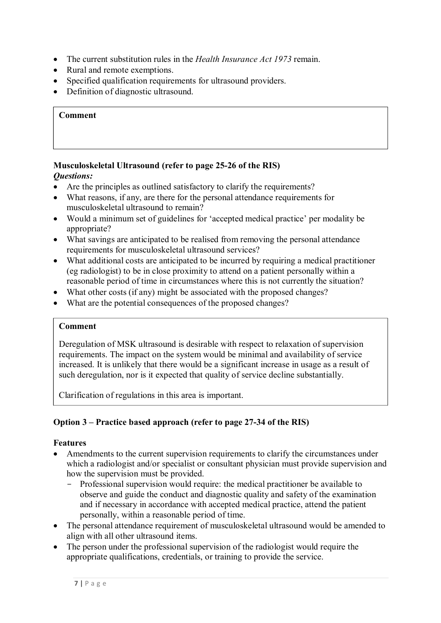- The current substitution rules in the *Health Insurance Act 1973* remain.
- Rural and remote exemptions.
- Specified qualification requirements for ultrasound providers.
- Definition of diagnostic ultrasound.

#### **Comment**

#### **Musculoskeletal Ultrasound (refer to page 25-26 of the RIS)**  *Questions:*

- Are the principles as outlined satisfactory to clarify the requirements?
- What reasons, if any, are there for the personal attendance requirements for musculoskeletal ultrasound to remain?
- Would a minimum set of guidelines for 'accepted medical practice' per modality be appropriate?
- What savings are anticipated to be realised from removing the personal attendance requirements for musculoskeletal ultrasound services?
- What additional costs are anticipated to be incurred by requiring a medical practitioner (eg radiologist) to be in close proximity to attend on a patient personally within a reasonable period of time in circumstances where this is not currently the situation?
- What other costs (if any) might be associated with the proposed changes?
- What are the potential consequences of the proposed changes?

#### **Comment**

Deregulation of MSK ultrasound is desirable with respect to relaxation of supervision requirements. The impact on the system would be minimal and availability of service increased. It is unlikely that there would be a significant increase in usage as a result of such deregulation, nor is it expected that quality of service decline substantially.

Clarification of regulations in this area is important.

#### **Option 3 – Practice based approach (refer to page 27-34 of the RIS)**

#### **Features**

- Amendments to the current supervision requirements to clarify the circumstances under which a radiologist and/or specialist or consultant physician must provide supervision and how the supervision must be provided.
	- Professional supervision would require: the medical practitioner be available to observe and guide the conduct and diagnostic quality and safety of the examination and if necessary in accordance with accepted medical practice, attend the patient personally, within a reasonable period of time.
- The personal attendance requirement of musculoskeletal ultrasound would be amended to align with all other ultrasound items.
- The person under the professional supervision of the radiologist would require the appropriate qualifications, credentials, or training to provide the service.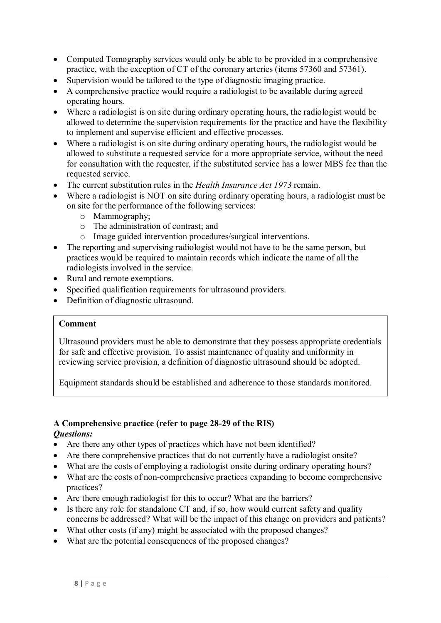- Computed Tomography services would only be able to be provided in a comprehensive practice, with the exception of CT of the coronary arteries (items 57360 and 57361).
- Supervision would be tailored to the type of diagnostic imaging practice.
- A comprehensive practice would require a radiologist to be available during agreed operating hours.
- Where a radiologist is on site during ordinary operating hours, the radiologist would be allowed to determine the supervision requirements for the practice and have the flexibility to implement and supervise efficient and effective processes.
- Where a radiologist is on site during ordinary operating hours, the radiologist would be allowed to substitute a requested service for a more appropriate service, without the need for consultation with the requester, if the substituted service has a lower MBS fee than the requested service.
- The current substitution rules in the *Health Insurance Act 1973* remain.
- Where a radiologist is NOT on site during ordinary operating hours, a radiologist must be on site for the performance of the following services:
	- o Mammography;
	- o The administration of contrast; and
	- o Image guided intervention procedures/surgical interventions.
- The reporting and supervising radiologist would not have to be the same person, but practices would be required to maintain records which indicate the name of all the radiologists involved in the service.
- Rural and remote exemptions.
- Specified qualification requirements for ultrasound providers.
- Definition of diagnostic ultrasound.

#### **Comment**

Ultrasound providers must be able to demonstrate that they possess appropriate credentials for safe and effective provision. To assist maintenance of quality and uniformity in reviewing service provision, a definition of diagnostic ultrasound should be adopted.

Equipment standards should be established and adherence to those standards monitored.

#### **A Comprehensive practice (refer to page 28-29 of the RIS)**  *Questions:*

- Are there any other types of practices which have not been identified?
- Are there comprehensive practices that do not currently have a radiologist onsite?
- What are the costs of employing a radiologist onsite during ordinary operating hours?
- What are the costs of non-comprehensive practices expanding to become comprehensive practices?
- Are there enough radiologist for this to occur? What are the barriers?
- Is there any role for standalone CT and, if so, how would current safety and quality concerns be addressed? What will be the impact of this change on providers and patients?
- What other costs (if any) might be associated with the proposed changes?
- What are the potential consequences of the proposed changes?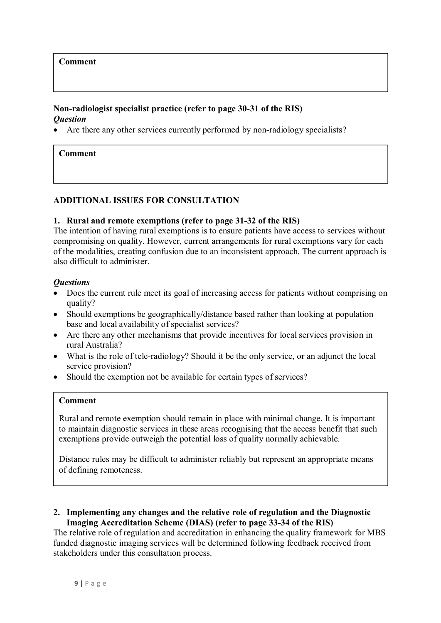#### **Comment**

#### **Non-radiologist specialist practice (refer to page 30-31 of the RIS)**  *Question*

Are there any other services currently performed by non-radiology specialists?

#### **Comment**

#### **ADDITIONAL ISSUES FOR CONSULTATION**

#### **1. Rural and remote exemptions (refer to page 31-32 of the RIS)**

The intention of having rural exemptions is to ensure patients have access to services without compromising on quality. However, current arrangements for rural exemptions vary for each of the modalities, creating confusion due to an inconsistent approach. The current approach is also difficult to administer.

#### *Questions*

- Does the current rule meet its goal of increasing access for patients without comprising on quality?
- Should exemptions be geographically/distance based rather than looking at population base and local availability of specialist services?
- Are there any other mechanisms that provide incentives for local services provision in rural Australia?
- What is the role of tele-radiology? Should it be the only service, or an adjunct the local service provision?
- Should the exemption not be available for certain types of services?

#### **Comment**

Rural and remote exemption should remain in place with minimal change. It is important to maintain diagnostic services in these areas recognising that the access benefit that such exemptions provide outweigh the potential loss of quality normally achievable.

Distance rules may be difficult to administer reliably but represent an appropriate means of defining remoteness.

#### **2. Implementing any changes and the relative role of regulation and the Diagnostic Imaging Accreditation Scheme (DIAS) (refer to page 33-34 of the RIS)**

The relative role of regulation and accreditation in enhancing the quality framework for MBS funded diagnostic imaging services will be determined following feedback received from stakeholders under this consultation process.